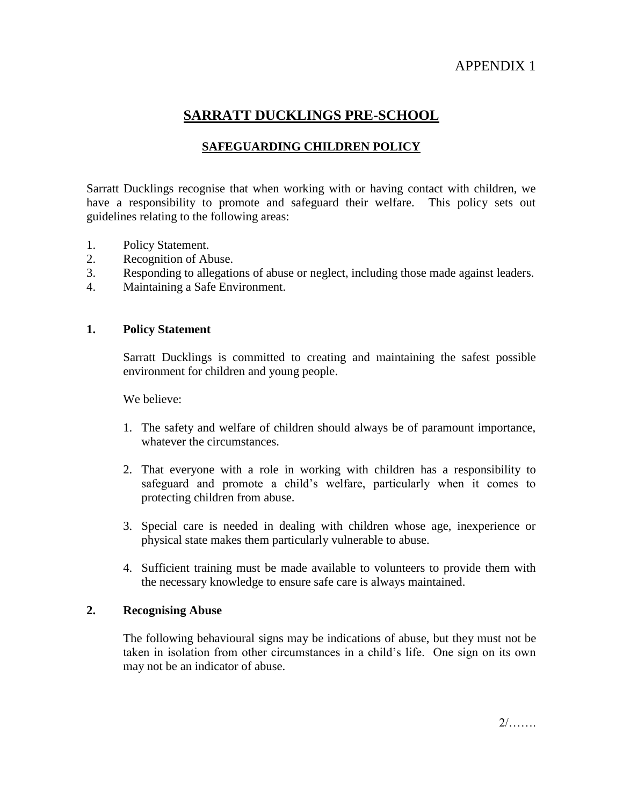# APPENDIX 1

# **SARRATT DUCKLINGS PRE-SCHOOL**

## **SAFEGUARDING CHILDREN POLICY**

Sarratt Ducklings recognise that when working with or having contact with children, we have a responsibility to promote and safeguard their welfare. This policy sets out guidelines relating to the following areas:

- 1. Policy Statement.
- 2. Recognition of Abuse.
- 3. Responding to allegations of abuse or neglect, including those made against leaders.
- 4. Maintaining a Safe Environment.

#### **1. Policy Statement**

Sarratt Ducklings is committed to creating and maintaining the safest possible environment for children and young people.

We believe:

- 1. The safety and welfare of children should always be of paramount importance, whatever the circumstances.
- 2. That everyone with a role in working with children has a responsibility to safeguard and promote a child's welfare, particularly when it comes to protecting children from abuse.
- 3. Special care is needed in dealing with children whose age, inexperience or physical state makes them particularly vulnerable to abuse.
- 4. Sufficient training must be made available to volunteers to provide them with the necessary knowledge to ensure safe care is always maintained.

## **2. Recognising Abuse**

The following behavioural signs may be indications of abuse, but they must not be taken in isolation from other circumstances in a child's life. One sign on its own may not be an indicator of abuse.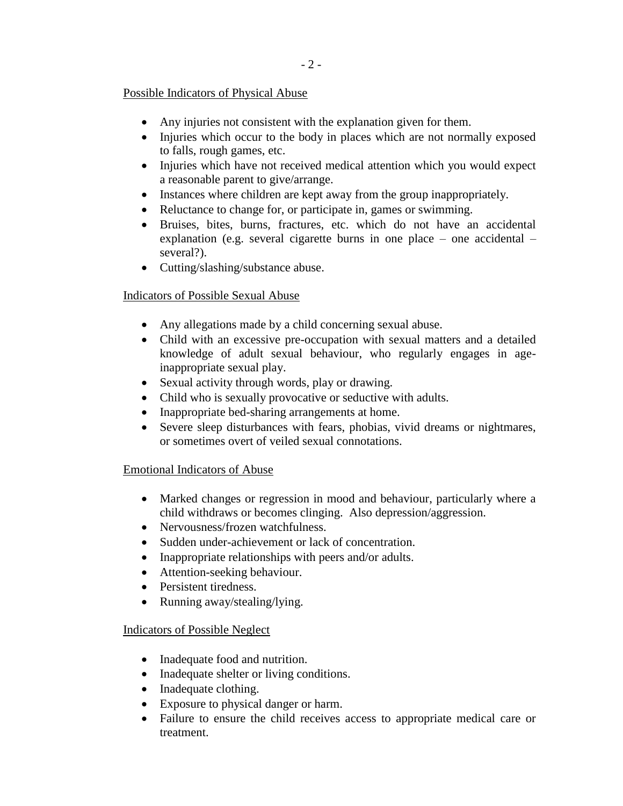## Possible Indicators of Physical Abuse

- Any injuries not consistent with the explanation given for them.
- Injuries which occur to the body in places which are not normally exposed to falls, rough games, etc.
- Injuries which have not received medical attention which you would expect a reasonable parent to give/arrange.
- Instances where children are kept away from the group inappropriately.
- Reluctance to change for, or participate in, games or swimming.
- Bruises, bites, burns, fractures, etc. which do not have an accidental explanation (e.g. several cigarette burns in one place – one accidental – several?).
- Cutting/slashing/substance abuse.

## Indicators of Possible Sexual Abuse

- Any allegations made by a child concerning sexual abuse.
- Child with an excessive pre-occupation with sexual matters and a detailed knowledge of adult sexual behaviour, who regularly engages in ageinappropriate sexual play.
- Sexual activity through words, play or drawing.
- Child who is sexually provocative or seductive with adults.
- Inappropriate bed-sharing arrangements at home.
- Severe sleep disturbances with fears, phobias, vivid dreams or nightmares, or sometimes overt of veiled sexual connotations.

## Emotional Indicators of Abuse

- Marked changes or regression in mood and behaviour, particularly where a child withdraws or becomes clinging. Also depression/aggression.
- Nervousness/frozen watchfulness.
- Sudden under-achievement or lack of concentration.
- Inappropriate relationships with peers and/or adults.
- Attention-seeking behaviour.
- Persistent tiredness.
- Running away/stealing/lying.

## Indicators of Possible Neglect

- Inadequate food and nutrition.
- Inadequate shelter or living conditions.
- Inadequate clothing.
- Exposure to physical danger or harm.
- Failure to ensure the child receives access to appropriate medical care or treatment.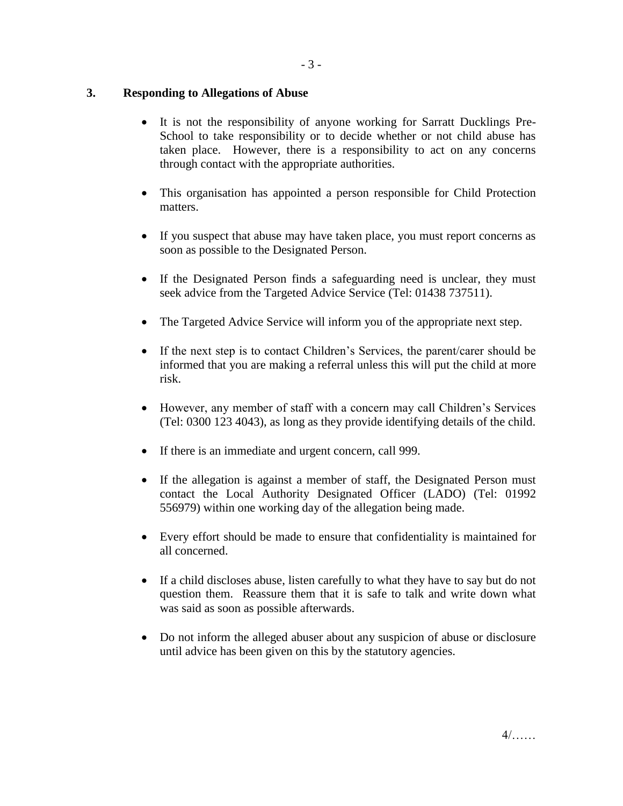## **3. Responding to Allegations of Abuse**

- It is not the responsibility of anyone working for Sarratt Ducklings Pre-School to take responsibility or to decide whether or not child abuse has taken place. However, there is a responsibility to act on any concerns through contact with the appropriate authorities.
- This organisation has appointed a person responsible for Child Protection matters.
- If you suspect that abuse may have taken place, you must report concerns as soon as possible to the Designated Person.
- If the Designated Person finds a safeguarding need is unclear, they must seek advice from the Targeted Advice Service (Tel: 01438 737511).
- The Targeted Advice Service will inform you of the appropriate next step.
- If the next step is to contact Children's Services, the parent/carer should be informed that you are making a referral unless this will put the child at more risk.
- However, any member of staff with a concern may call Children's Services (Tel: 0300 123 4043), as long as they provide identifying details of the child.
- If there is an immediate and urgent concern, call 999.
- If the allegation is against a member of staff, the Designated Person must contact the Local Authority Designated Officer (LADO) (Tel: 01992 556979) within one working day of the allegation being made.
- Every effort should be made to ensure that confidentiality is maintained for all concerned.
- If a child discloses abuse, listen carefully to what they have to say but do not question them. Reassure them that it is safe to talk and write down what was said as soon as possible afterwards.
- Do not inform the alleged abuser about any suspicion of abuse or disclosure until advice has been given on this by the statutory agencies.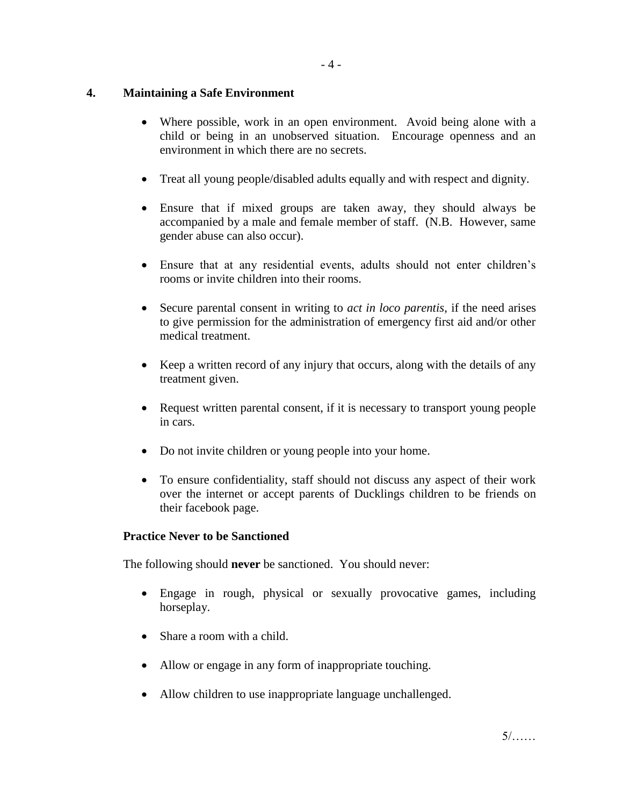## **4. Maintaining a Safe Environment**

- Where possible, work in an open environment. Avoid being alone with a child or being in an unobserved situation. Encourage openness and an environment in which there are no secrets.
- Treat all young people/disabled adults equally and with respect and dignity.
- Ensure that if mixed groups are taken away, they should always be accompanied by a male and female member of staff. (N.B. However, same gender abuse can also occur).
- Ensure that at any residential events, adults should not enter children's rooms or invite children into their rooms.
- Secure parental consent in writing to *act in loco parentis*, if the need arises to give permission for the administration of emergency first aid and/or other medical treatment.
- Keep a written record of any injury that occurs, along with the details of any treatment given.
- Request written parental consent, if it is necessary to transport young people in cars.
- Do not invite children or young people into your home.
- To ensure confidentiality, staff should not discuss any aspect of their work over the internet or accept parents of Ducklings children to be friends on their facebook page.

## **Practice Never to be Sanctioned**

The following should **never** be sanctioned. You should never:

- Engage in rough, physical or sexually provocative games, including horseplay.
- Share a room with a child.
- Allow or engage in any form of inappropriate touching.
- Allow children to use inappropriate language unchallenged.